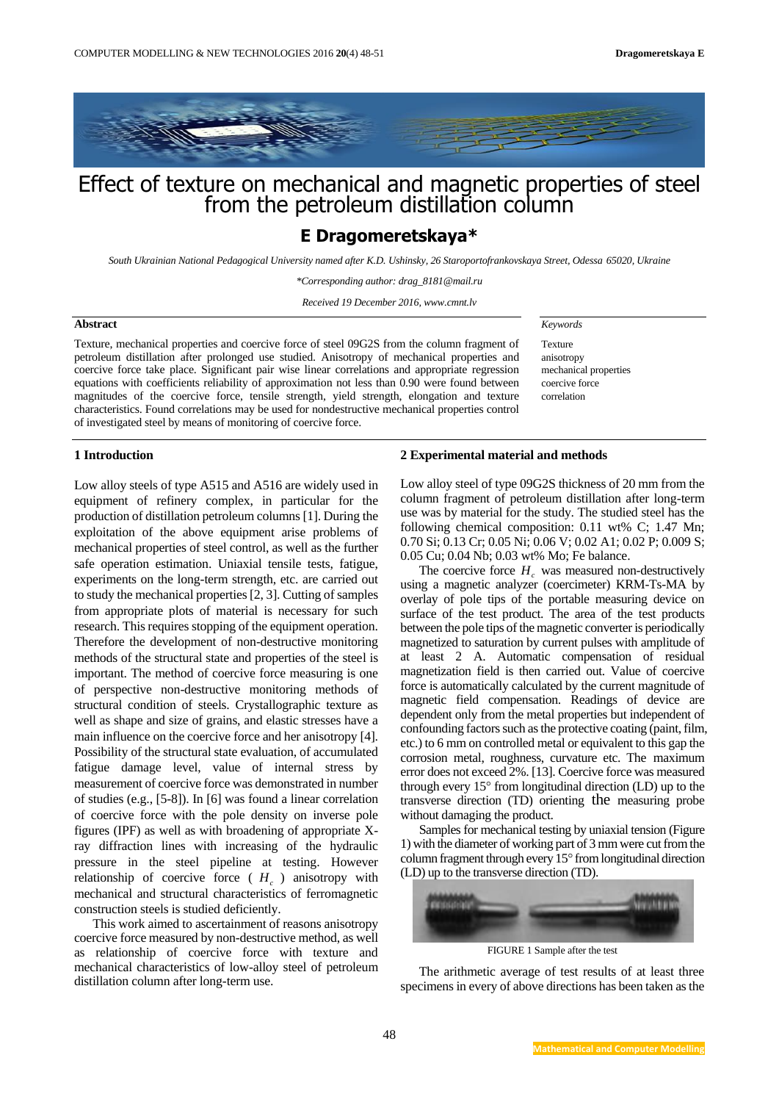

# Effect of texture on mechanical and magnetic properties of steel from the petroleum distillation column

# **E Dragomeretskaya\***

*South Ukrainian National Pedagogical University named after K.D. Ushinsky, 26 Staroportofrankovskaya Street, Odessa 65020, Ukraine*

*\*Corresponding author: drag\_8181@mail.ru*

*Received 19 December 2016, www.cmnt.lv*

# **Abstract**

Texture, mechanical properties and coercive force of steel 09G2S from the column fragment of petroleum distillation after prolonged use studied. Anisotropy of mechanical properties and coercive force take place. Significant pair wise linear correlations and appropriate regression equations with coefficients reliability of approximation not less than 0.90 were found between magnitudes of the coercive force, tensile strength, yield strength, elongation and texture characteristics. Found correlations may be used for nondestructive mechanical properties control of investigated steel by means of monitoring of coercive force.

*Keywords* 

Texture anisotropy mechanical properties coercive force correlation

### **1 Introduction**

Low alloy steels of type A515 and A516 are widely used in equipment of refinery complex, in particular for the production of distillation petroleum columns [1]. During the exploitation of the above equipment arise problems of mechanical properties of steel control, as well as the further safe operation estimation. Uniaxial tensile tests, fatigue, experiments on the long-term strength, etc. are carried out to study the mechanical properties [2, 3]. Cutting of samples from appropriate plots of material is necessary for such research. This requires stopping of the equipment operation. Therefore the development of non-destructive monitoring methods of the structural state and properties of the steel is important. The method of coercive force measuring is one of perspective non-destructive monitoring methods of structural condition of steels. Crystallographic texture as well as shape and size of grains, and elastic stresses have a main influence on the coercive force and her anisotropy [4]. Possibility of the structural state evaluation, of accumulated fatigue damage level, value of internal stress by measurement of coercive force was demonstrated in number of studies (e.g., [5-8]). In [6] was found a linear correlation of coercive force with the pole density on inverse pole figures (IPF) as well as with broadening of appropriate Xray diffraction lines with increasing of the hydraulic pressure in the steel pipeline at testing. However relationship of coercive force  $(H_c)$  anisotropy with mechanical and structural characteristics of ferromagnetic construction steels is studied deficiently.

This work aimed to ascertainment of reasons anisotropy coercive force measured by non-destructive method, as well as relationship of coercive force with texture and mechanical characteristics of low-alloy steel of petroleum distillation column after long-term use.

#### **2 Experimental material and methods**

Low alloy steel of type 09G2S thickness of 20 mm from the column fragment of petroleum distillation after long-term use was by material for the study. The studied steel has the following chemical composition: 0.11 wt% C; 1.47 Mn; 0.70 Si; 0.13 Cr; 0.05 Ni; 0.06 V; 0.02 A1; 0.02 P; 0.009 S; 0.05 Cu; 0.04 Nb; 0.03 wt% Mo; Fe balance.

The coercive force  $H_c$  was measured non-destructively using a magnetic analyzer (coercimeter) KRM-Ts-MA by overlay of pole tips of the portable measuring device on surface of the test product. The area of the test products between the pole tips of the magnetic converter is periodically magnetized to saturation by current pulses with amplitude of at least 2 A. Automatic compensation of residual magnetization field is then carried out. Value of coercive force is automatically calculated by the current magnitude of magnetic field compensation. Readings of device are dependent only from the metal properties but independent of confounding factors such as the protective coating (paint, film, etc.) to 6 mm on controlled metal or equivalent to this gap the corrosion metal, roughness, curvature etc. The maximum error does not exceed 2%. [13]. Coercive force was measured through every  $15^{\circ}$  from longitudinal direction (LD) up to the transverse direction (TD) orienting the measuring probe without damaging the product.

Samples for mechanical testing by uniaxial tension (Figure 1) with the diameter of working part of 3 mm were cut from the column fragment through every  $15^{\circ}$  from longitudinal direction (LD) up to the transverse direction (TD).



FIGURE 1 Sample after the test

The arithmetic average of test results of at least three specimens in every of above directions has been taken as the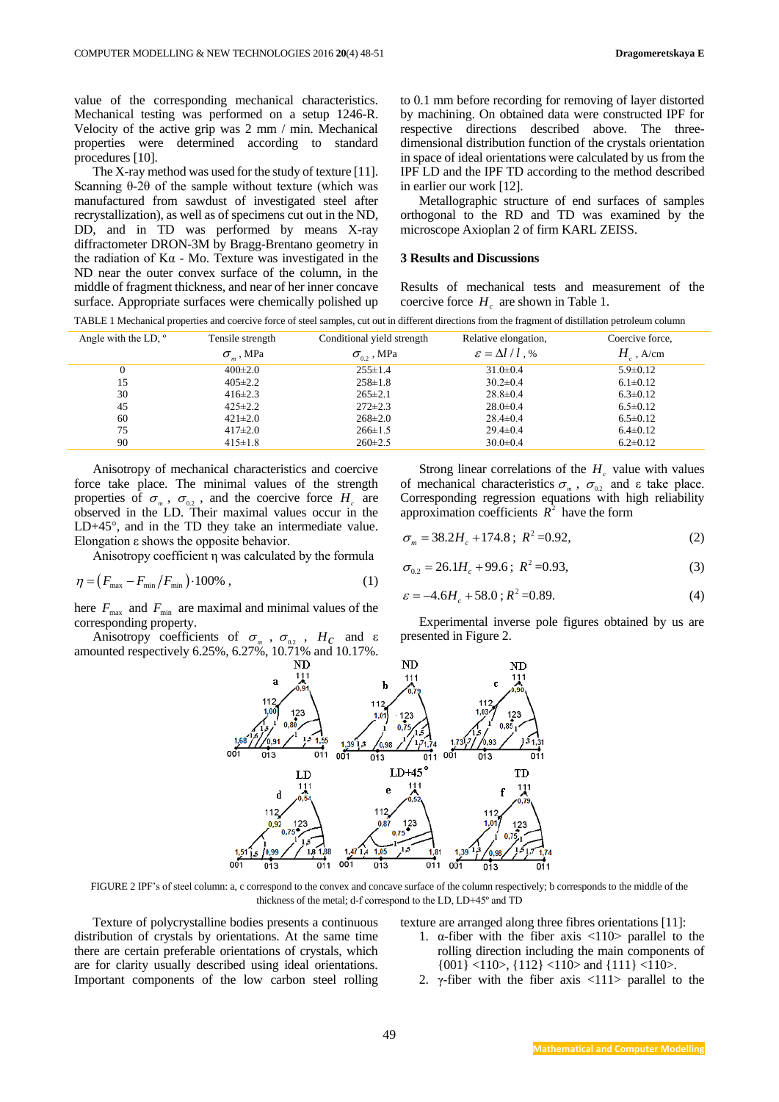value of the corresponding mechanical characteristics. Mechanical testing was performed on a setup 1246-R. Velocity of the active grip was 2 mm / min. Mechanical properties were determined according to standard procedures [10].

The X-ray method was used for the study of texture [11]. Scanning  $θ$ -2 $θ$  of the sample without texture (which was manufactured from sawdust of investigated steel after recrystallization), as well as of specimens cut out in the ND, DD, and in TD was performed by means X-ray diffractometer DRON-3M by Bragg-Brentano geometry in the radiation of  $K\alpha$  - Mo. Texture was investigated in the ND near the outer convex surface of the column, in the middle of fragment thickness, and near of her inner concave surface. Appropriate surfaces were chemically polished up

to 0.1 mm before recording for removing of layer distorted by machining. On obtained data were constructed IPF for respective directions described above. The threedimensional distribution function of the crystals orientation in space of ideal orientations were calculated by us from the IPF LD and the IPF TD according to the method described in earlier our work [12].

Metallographic structure of end surfaces of samples orthogonal to the RD and TD was examined by the microscope Axioplan 2 of firm KARL ZEISS.

#### **3 Results and Discussions**

Results of mechanical tests and measurement of the coercive force  $H_c$  are shown in Table 1.

| TABLE 1 Mechanical properties and coercive force of steel samples, cut out in different directions from the fragment of distillation petroleum column |  |
|-------------------------------------------------------------------------------------------------------------------------------------------------------|--|

| Angle with the LD, $\degree$ | Tensile strength   |                     | Conditional yield strength       |                                   | Relative elongation, | Coercive force, |
|------------------------------|--------------------|---------------------|----------------------------------|-----------------------------------|----------------------|-----------------|
|                              | $\sigma_{m}$ , MPa | $\sigma_{02}$ , MPa | $\varepsilon = \Delta l / l$ , % | $H_{\scriptscriptstyle c}$ , A/cm |                      |                 |
| 0                            | $400\pm2.0$        | $255 \pm 1.4$       | $31.0 \pm 0.4$                   | $5.9 \pm 0.12$                    |                      |                 |
| 15                           | $405 \pm 2.2$      | $258 \pm 1.8$       | $30.2 \pm 0.4$                   | $6.1 \pm 0.12$                    |                      |                 |
| 30                           | $416 \pm 2.3$      | $265 \pm 2.1$       | $28.8 \pm 0.4$                   | $6.3 \pm 0.12$                    |                      |                 |
| 45                           | $425 \pm 2.2$      | $272 \pm 2.3$       | $28.0 \pm 0.4$                   | $6.5 \pm 0.12$                    |                      |                 |
| 60                           | $421 \pm 2.0$      | $268 \pm 2.0$       | $28.4 \pm 0.4$                   | $6.5 \pm 0.12$                    |                      |                 |
| 75                           | $417\pm2.0$        | $266 \pm 1.5$       | $29.4 \pm 0.4$                   | $6.4 \pm 0.12$                    |                      |                 |
| 90                           | $415 \pm 1.8$      | $260 \pm 2.5$       | $30.0 \pm 0.4$                   | $6.2 \pm 0.12$                    |                      |                 |

Anisotropy of mechanical characteristics and coercive force take place. The minimal values of the strength properties of  $\sigma_m$ ,  $\sigma_{0.2}$ , and the coercive force  $H_c$  are observed in the LD. Their maximal values occur in the  $LD+45^\circ$ , and in the TD they take an intermediate value. Elongation ε shows the opposite behavior.

Anisotropy coefficient η was calculated by the formula

$$
\eta = \left( F_{\text{max}} - F_{\text{min}} / F_{\text{min}} \right) \cdot 100\%, \qquad (1)
$$

here  $F_{\text{max}}$  and  $F_{\text{min}}$  are maximal and minimal values of the corresponding property.

Anisotropy coefficients of  $\sigma_m$ ,  $\sigma_{0.2}$ ,  $H_c$  and  $\varepsilon$ amounted respectively 6.25%, 6.27%,  $10.\overline{71\%}$  and  $10.17\%$ .

Strong linear correlations of the  $H_c$  value with values of mechanical characteristics  $\sigma_m$ ,  $\sigma_{0.2}$  and ε take place. Corresponding regression equations with high reliability approximation coefficients  $R^2$  have the form

$$
\sigma_m = 38.2H_c + 174.8 \; ; \; R^2 = 0.92, \tag{2}
$$

$$
\sigma_{0.2} = 26.1H_c + 99.6 \, ; \, R^2 = 0.93,\tag{3}
$$

$$
\varepsilon = -4.6H_c + 58.0 \, ; R^2 = 0.89. \tag{4}
$$

Experimental inverse pole figures obtained by us are presented in Figure 2.



FIGURE 2 IPF's of steel column: a, c correspond to the convex and concave surface of the column respectively; b corresponds to the middle of the thickness of the metal; d-f correspond to the LD, LD+45º and TD

Texture of polycrystalline bodies presents a continuous distribution of crystals by orientations. At the same time there are certain preferable orientations of crystals, which are for clarity usually described using ideal orientations. Important components of the low carbon steel rolling texture are arranged along three fibres orientations [11]:

- 1.  $\alpha$ -fiber with the fiber axis  $\langle 110 \rangle$  parallel to the rolling direction including the main components of  $\{001\}$  <110>,  $\{112\}$  <110> and  $\{111\}$  <110>.
- 2. γ-fiber with the fiber axis  $\langle 111 \rangle$  parallel to the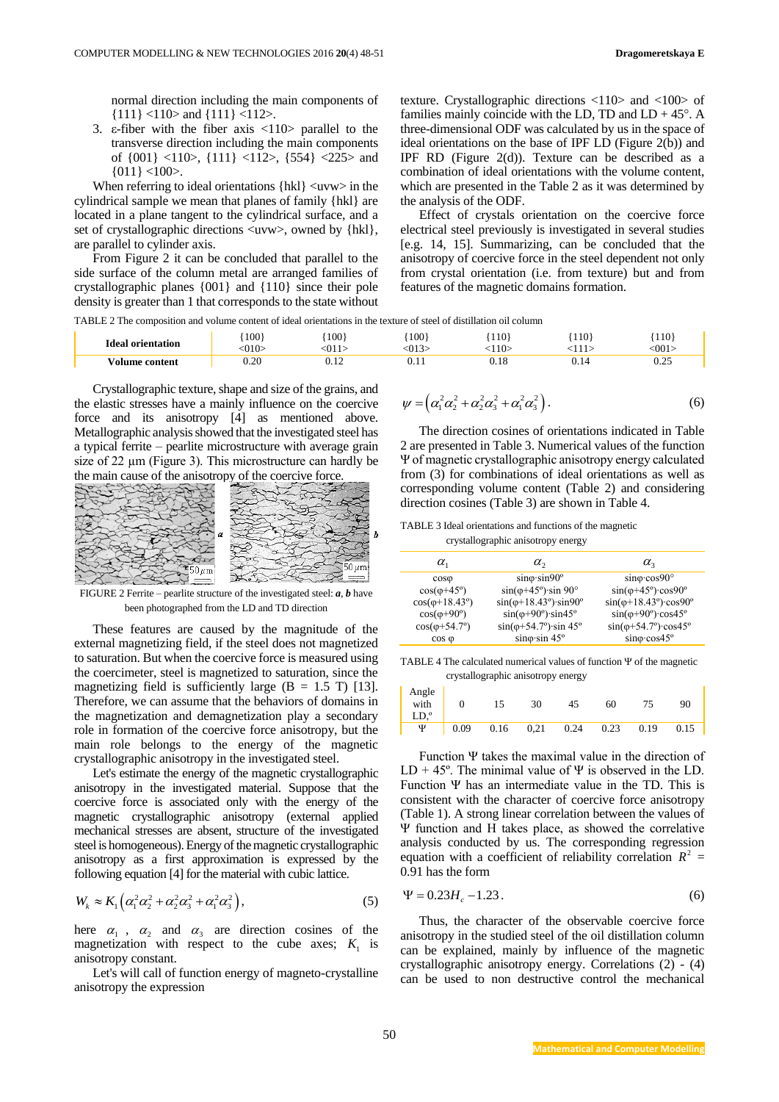normal direction including the main components of {111} <110> and {111} <112>.

3. ε-fiber with the fiber axis  $\langle 110 \rangle$  parallel to the transverse direction including the main components of {001} <110>, {111} <112>, {554} <225> and  ${011}$  <100>.

When referring to ideal orientations  $\{ h k l \} \langle u v w \rangle$  in the cylindrical sample we mean that planes of family {hkl} are located in a plane tangent to the cylindrical surface, and a set of crystallographic directions  $\langle$ uvw>, owned by {hkl}, are parallel to cylinder axis.

From Figure 2 it can be concluded that parallel to the side surface of the column metal are arranged families of crystallographic planes {001} and {110} since their pole density is greater than 1 that corresponds to the state without

texture. Crystallographic directions <110> and <100> of families mainly coincide with the LD, TD and  $LD + 45^\circ$ . A three-dimensional ODF was calculated by us in the space of ideal orientations on the base of IPF LD (Figure 2(b)) and IPF RD (Figure 2(d)). Texture can be described as a combination of ideal orientations with the volume content, which are presented in the Table 2 as it was determined by the analysis of the ODF.

Effect of crystals orientation on the coercive force electrical steel previously is investigated in several studies [e.g. 14, 15]. Summarizing, can be concluded that the anisotropy of coercive force in the steel dependent not only from crystal orientation (i.e. from texture) but and from features of the magnetic domains formation.

TABLE 2 The composition and volume content of ideal orientations in the texture of steel of distillation oil column

| <b>Ideal orientation</b> | 100<br>$\gamma$ 10> | 100 <sub>1</sub><br>$-011$ | 100<br>012 | 110<br>10  | 110  | 110<br>:001        |
|--------------------------|---------------------|----------------------------|------------|------------|------|--------------------|
| √olume content           | 0.20                |                            |            | -C<br>U.I8 | U.I4 | $\Omega$<br>ے کہ ک |

Crystallographic texture, shape and size of the grains, and the elastic stresses have a mainly influence on the coercive force and its anisotropy [4] as mentioned above. Metallographic analysis showed that the investigated steel has a typical ferrite – pearlite microstructure with average grain size of 22  $\mu$ m (Figure 3). This microstructure can hardly be the main cause of the anisotropy of the coercive force.



FIGURE 2 Ferrite – pearlite structure of the investigated steel: *a*, *b* have been photographed from the LD and TD direction

These features are caused by the magnitude of the external magnetizing field, if the steel does not magnetized to saturation. But when the coercive force is measured using the coercimeter, steel is magnetized to saturation, since the magnetizing field is sufficiently large  $(B = 1.5 T)$  [13]. Therefore, we can assume that the behaviors of domains in the magnetization and demagnetization play a secondary role in formation of the coercive force anisotropy, but the main role belongs to the energy of the magnetic crystallographic anisotropy in the investigated steel.

Let's estimate the energy of the magnetic crystallographic anisotropy in the investigated material. Suppose that the coercive force is associated only with the energy of the magnetic crystallographic anisotropy (external applied mechanical stresses are absent, structure of the investigated steel is homogeneous). Energy of the magnetic crystallographic anisotropy as a first approximation is expressed by the following equation [4] for the material with cubic lattice.

$$
W_k \approx K_1 \left( \alpha_1^2 \alpha_2^2 + \alpha_2^2 \alpha_3^2 + \alpha_1^2 \alpha_3^2 \right),\tag{5}
$$

here  $\alpha_1$ ,  $\alpha_2$  and  $\alpha_3$  are direction cosines of the magnetization with respect to the cube axes;  $K_1$  is anisotropy constant.

Let's will call of function energy of magneto-crystalline anisotropy the expression

$$
\psi = \left(\alpha_1^2 \alpha_2^2 + \alpha_2^2 \alpha_3^2 + \alpha_1^2 \alpha_3^2\right). \tag{6}
$$

The direction cosines of orientations indicated in Table 2 are presented in Table 3. Numerical values of the function Ψ of magnetic crystallographic anisotropy energy calculated from (3) for combinations of ideal orientations as well as corresponding volume content (Table 2) and considering direction cosines (Table 3) are shown in Table 4.

TABLE 3 Ideal orientations and functions of the magnetic crystallographic anisotropy energy

| $\alpha_{1}$                   | $\alpha$ ,                                         | $\alpha_{2}$                                     |
|--------------------------------|----------------------------------------------------|--------------------------------------------------|
| $cos\varphi$                   | $\sin\varphi \cdot \sin 90^\circ$                  | $\sin \varphi \cdot \cos 90^\circ$               |
| $cos(\varphi + 45^\circ)$      | $sin(\varphi + 45^\circ) \cdot sin 90^\circ$       | $sin(\varphi + 45^\circ) \cdot cos90^\circ$      |
| $cos(\varphi + 18.43^{\circ})$ | $sin(\varphi + 18.43^{\circ}) \cdot sin90^{\circ}$ | $sin(\varphi + 18.43^{\circ})$ · $cos90^{\circ}$ |
| $cos(\varphi + 90^\circ)$      | $sin(\varphi + 90^\circ) \cdot sin45^\circ$        | $sin(\varphi + 90^\circ)\cos 45^\circ$           |
| $cos(\varphi + 54.7^{\circ})$  | $sin(\varphi + 54.7^\circ) \cdot sin 45^\circ$     | $sin(\varphi + 54.7^\circ) \cdot cos45^\circ$    |
| $\cos \varphi$                 | $\sin \varphi \cdot \sin 45^\circ$                 | $\sin\varphi \cdot \cos 45^\circ$                |

TABLE 4 The calculated numerical values of function Ψ of the magnetic crystallographic anisotropy energy

| Angle<br>with<br>LD.° |      | 15   | 30   | 45   | 60   | 75   | 90   |
|-----------------------|------|------|------|------|------|------|------|
| Ψ                     | 0.09 | 0.16 | 0,21 | 0.24 | 0.23 | 0.19 | 0.15 |

Function Ψ takes the maximal value in the direction of LD + 45°. The minimal value of  $\Psi$  is observed in the LD. Function Ψ has an intermediate value in the TD. This is consistent with the character of coercive force anisotropy (Table 1). A strong linear correlation between the values of Ψ function and H takes place, as showed the correlative analysis conducted by us. The corresponding regression equation with a coefficient of reliability correlation  $R^2$  = 0.91 has the form

$$
\Psi = 0.23 H_c - 1.23 \,. \tag{6}
$$

Thus, the character of the observable coercive force anisotropy in the studied steel of the oil distillation column can be explained, mainly by influence of the magnetic crystallographic anisotropy energy. Correlations (2) - (4) can be used to non destructive control the mechanical